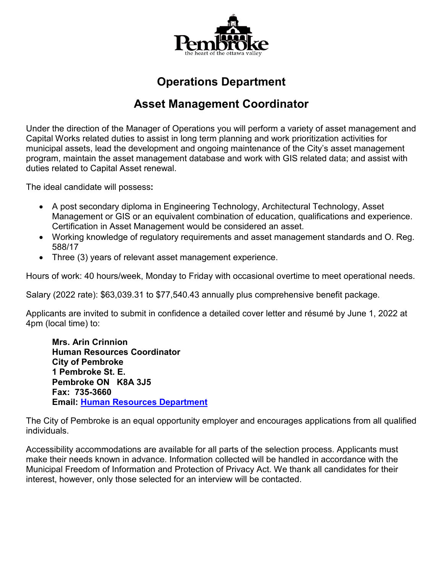

# **Operations Department**

# **Asset Management Coordinator**

Under the direction of the Manager of Operations you will perform a variety of asset management and Capital Works related duties to assist in long term planning and work prioritization activities for municipal assets, lead the development and ongoing maintenance of the City's asset management program, maintain the asset management database and work with GIS related data; and assist with duties related to Capital Asset renewal.

The ideal candidate will possess**:**

- A post secondary diploma in Engineering Technology, Architectural Technology, Asset Management or GIS or an equivalent combination of education, qualifications and experience. Certification in Asset Management would be considered an asset.
- Working knowledge of regulatory requirements and asset management standards and O. Reg. 588/17
- Three (3) years of relevant asset management experience.

Hours of work: 40 hours/week, Monday to Friday with occasional overtime to meet operational needs.

Salary (2022 rate): \$63,039.31 to \$77,540.43 annually plus comprehensive benefit package.

Applicants are invited to submit in confidence a detailed cover letter and résumé by June 1, 2022 at 4pm (local time) to:

**Mrs. Arin Crinnion Human Resources Coordinator City of Pembroke 1 Pembroke St. E. Pembroke ON K8A 3J5 Fax: 735-3660 Email: [Human Resources Department](mailto:hr@pembroke.ca)**

The City of Pembroke is an equal opportunity employer and encourages applications from all qualified individuals.

Accessibility accommodations are available for all parts of the selection process. Applicants must make their needs known in advance. Information collected will be handled in accordance with the Municipal Freedom of Information and Protection of Privacy Act. We thank all candidates for their interest, however, only those selected for an interview will be contacted.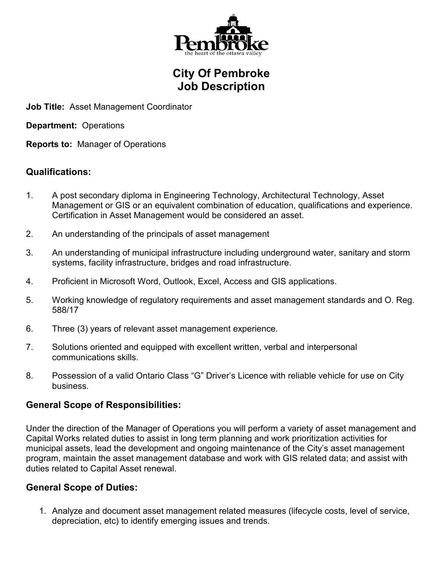

### **City Of Pembroke Job Description**

**Job Title:** Asset Management Coordinator

**Department:** Operations

**Reports to:** Manager of Operations

#### **Qualifications:**

- 1. A post secondary diploma in Engineering Technology, Architectural Technology, Asset Management or GIS or an equivalent combination of education, qualifications and experience. Certification in Asset Management would be considered an asset.
- 2. An understanding of the principals of asset management
- 3. An understanding of municipal infrastructure including underground water, sanitary and storm systems, facility infrastructure, bridges and road infrastructure.
- 4. Proficient in Microsoft Word, Outlook, Excel, Access and GIS applications.
- 5. Working knowledge of regulatory requirements and asset management standards and O. Reg. 588/17
- 6. Three (3) years of relevant asset management experience.
- 7. Solutions oriented and equipped with excellent written, verbal and interpersonal communications skills.
- 8. Possession of a valid Ontario Class "G" Driver's Licence with reliable vehicle for use on City business.

### **General Scope of Responsibilities:**

Under the direction of the Manager of Operations you will perform a variety of asset management and Capital Works related duties to assist in long term planning and work prioritization activities for municipal assets, lead the development and ongoing maintenance of the City's asset management program, maintain the asset management database and work with GIS related data; and assist with duties related to Capital Asset renewal.

### **General Scope of Duties:**

1. Analyze and document asset management related measures (lifecycle costs, level of service, depreciation, etc) to identify emerging issues and trends.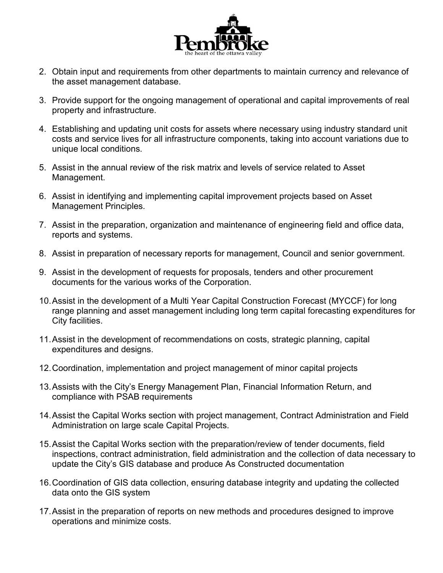

- 2. Obtain input and requirements from other departments to maintain currency and relevance of the asset management database.
- 3. Provide support for the ongoing management of operational and capital improvements of real property and infrastructure.
- 4. Establishing and updating unit costs for assets where necessary using industry standard unit costs and service lives for all infrastructure components, taking into account variations due to unique local conditions.
- 5. Assist in the annual review of the risk matrix and levels of service related to Asset Management.
- 6. Assist in identifying and implementing capital improvement projects based on Asset Management Principles.
- 7. Assist in the preparation, organization and maintenance of engineering field and office data, reports and systems.
- 8. Assist in preparation of necessary reports for management, Council and senior government.
- 9. Assist in the development of requests for proposals, tenders and other procurement documents for the various works of the Corporation.
- 10.Assist in the development of a Multi Year Capital Construction Forecast (MYCCF) for long range planning and asset management including long term capital forecasting expenditures for City facilities.
- 11.Assist in the development of recommendations on costs, strategic planning, capital expenditures and designs.
- 12.Coordination, implementation and project management of minor capital projects
- 13.Assists with the City's Energy Management Plan, Financial Information Return, and compliance with PSAB requirements
- 14.Assist the Capital Works section with project management, Contract Administration and Field Administration on large scale Capital Projects.
- 15.Assist the Capital Works section with the preparation/review of tender documents, field inspections, contract administration, field administration and the collection of data necessary to update the City's GIS database and produce As Constructed documentation
- 16.Coordination of GIS data collection, ensuring database integrity and updating the collected data onto the GIS system
- 17.Assist in the preparation of reports on new methods and procedures designed to improve operations and minimize costs.